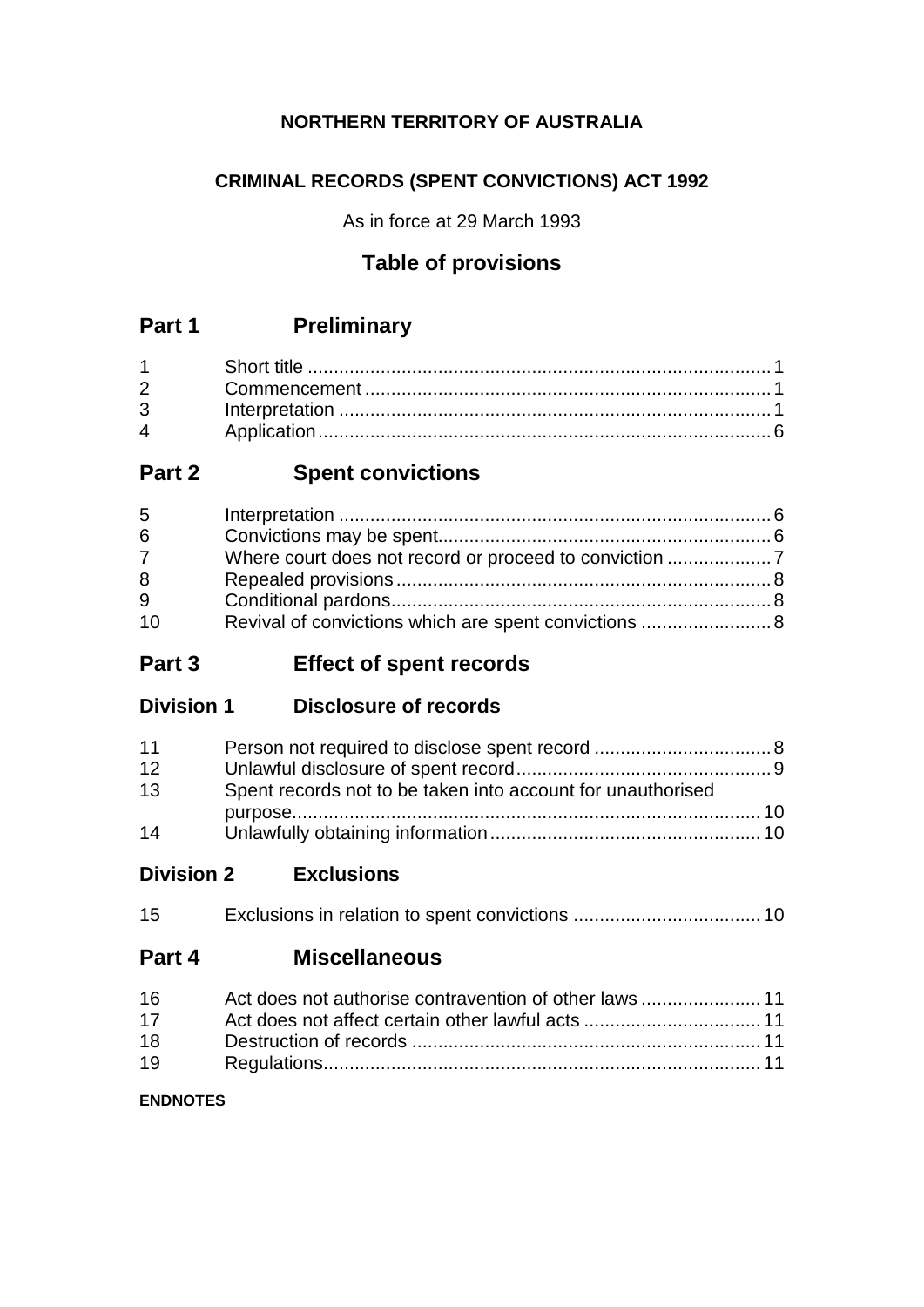## **NORTHERN TERRITORY OF AUSTRALIA**

# **CRIMINAL RECORDS (SPENT CONVICTIONS) ACT 1992**

As in force at 29 March 1993

# **Table of provisions**

# **Part 1 Preliminary**

| $\overline{4}$ |  |
|----------------|--|

# **Part 2 Spent convictions**

| 5           |                                                       |  |
|-------------|-------------------------------------------------------|--|
| 6           |                                                       |  |
| $7^{\circ}$ |                                                       |  |
| 8           |                                                       |  |
| 9           |                                                       |  |
| 10          | Revival of convictions which are spent convictions  8 |  |

# **Part 3 Effect of spent records**

**Division 1 Disclosure of records**

| 11 |                                                             |  |
|----|-------------------------------------------------------------|--|
| 12 |                                                             |  |
| 13 | Spent records not to be taken into account for unauthorised |  |
|    |                                                             |  |
| 14 |                                                             |  |

**Division 2 Exclusions**

| 15 |  |  |
|----|--|--|
|----|--|--|

## **Part 4 Miscellaneous**

| 16 |  |
|----|--|
| 17 |  |
| 18 |  |
| 19 |  |

## **ENDNOTES**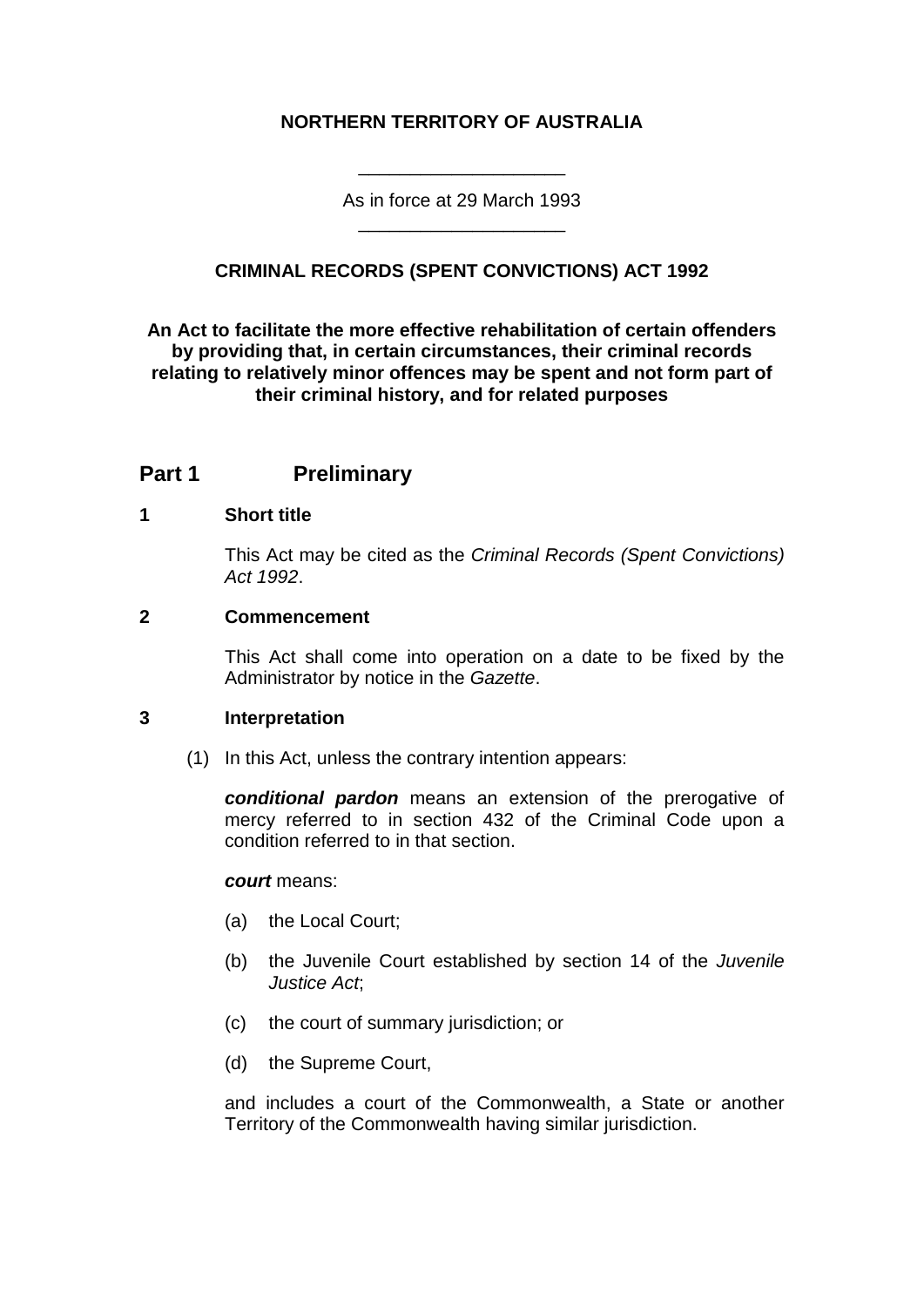## **NORTHERN TERRITORY OF AUSTRALIA**

As in force at 29 March 1993 \_\_\_\_\_\_\_\_\_\_\_\_\_\_\_\_\_\_\_\_

\_\_\_\_\_\_\_\_\_\_\_\_\_\_\_\_\_\_\_\_

## **CRIMINAL RECORDS (SPENT CONVICTIONS) ACT 1992**

#### **An Act to facilitate the more effective rehabilitation of certain offenders by providing that, in certain circumstances, their criminal records relating to relatively minor offences may be spent and not form part of their criminal history, and for related purposes**

## **Part 1 Preliminary**

#### **1 Short title**

This Act may be cited as the *Criminal Records (Spent Convictions) Act 1992*.

#### **2 Commencement**

This Act shall come into operation on a date to be fixed by the Administrator by notice in the *Gazette*.

#### **3 Interpretation**

(1) In this Act, unless the contrary intention appears:

*conditional pardon* means an extension of the prerogative of mercy referred to in section 432 of the Criminal Code upon a condition referred to in that section.

#### *court* means:

- (a) the Local Court;
- (b) the Juvenile Court established by section 14 of the *Juvenile Justice Act*;
- (c) the court of summary jurisdiction; or
- (d) the Supreme Court,

and includes a court of the Commonwealth, a State or another Territory of the Commonwealth having similar jurisdiction.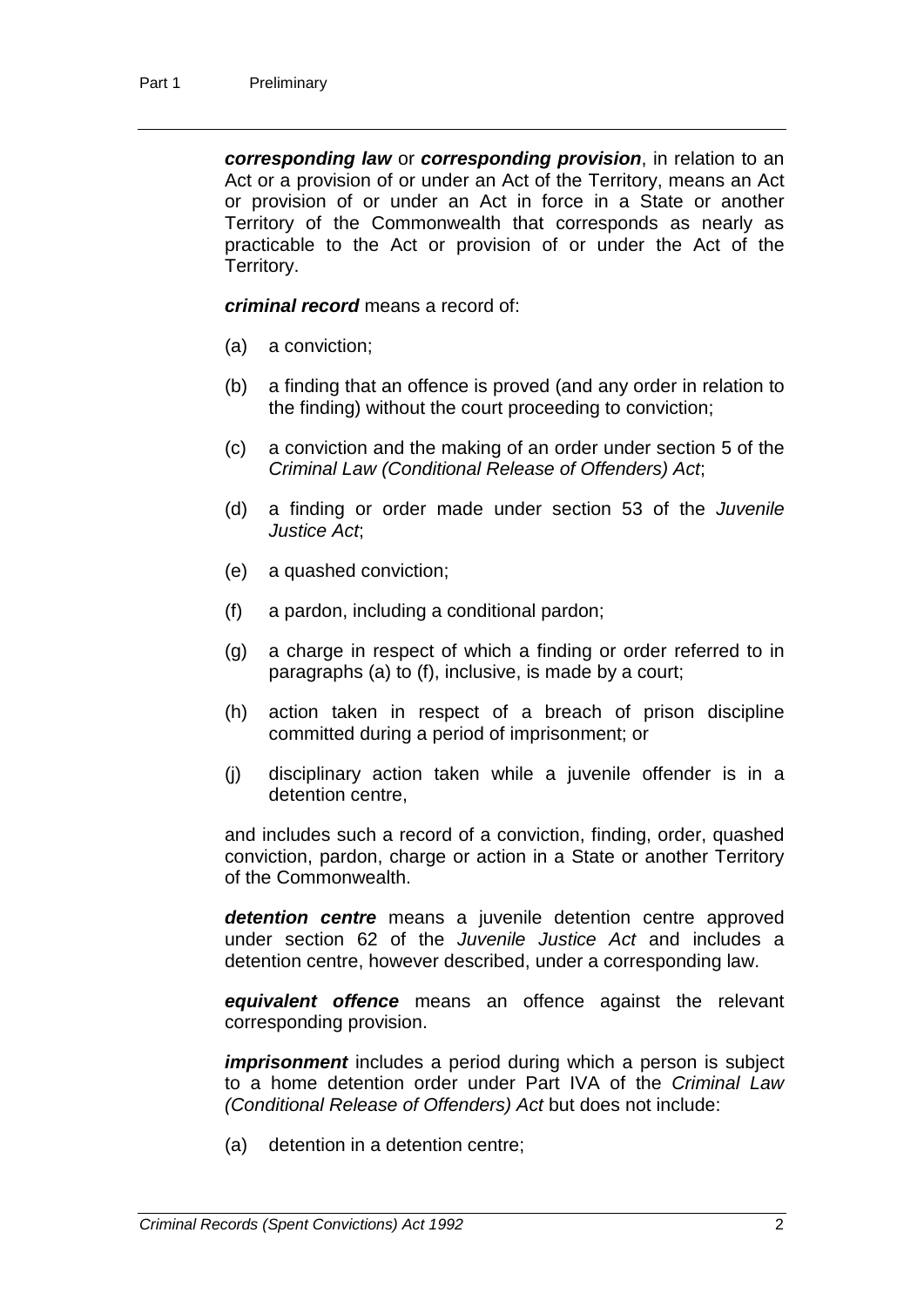*corresponding law* or *corresponding provision*, in relation to an Act or a provision of or under an Act of the Territory, means an Act or provision of or under an Act in force in a State or another Territory of the Commonwealth that corresponds as nearly as practicable to the Act or provision of or under the Act of the Territory.

*criminal record* means a record of:

- (a) a conviction;
- (b) a finding that an offence is proved (and any order in relation to the finding) without the court proceeding to conviction;
- (c) a conviction and the making of an order under section 5 of the *Criminal Law (Conditional Release of Offenders) Act*;
- (d) a finding or order made under section 53 of the *Juvenile Justice Act*;
- (e) a quashed conviction;
- (f) a pardon, including a conditional pardon;
- (g) a charge in respect of which a finding or order referred to in paragraphs (a) to (f), inclusive, is made by a court;
- (h) action taken in respect of a breach of prison discipline committed during a period of imprisonment; or
- (j) disciplinary action taken while a juvenile offender is in a detention centre,

and includes such a record of a conviction, finding, order, quashed conviction, pardon, charge or action in a State or another Territory of the Commonwealth.

*detention centre* means a juvenile detention centre approved under section 62 of the *Juvenile Justice Act* and includes a detention centre, however described, under a corresponding law.

*equivalent offence* means an offence against the relevant corresponding provision.

*imprisonment* includes a period during which a person is subject to a home detention order under Part IVA of the *Criminal Law (Conditional Release of Offenders) Act* but does not include:

(a) detention in a detention centre;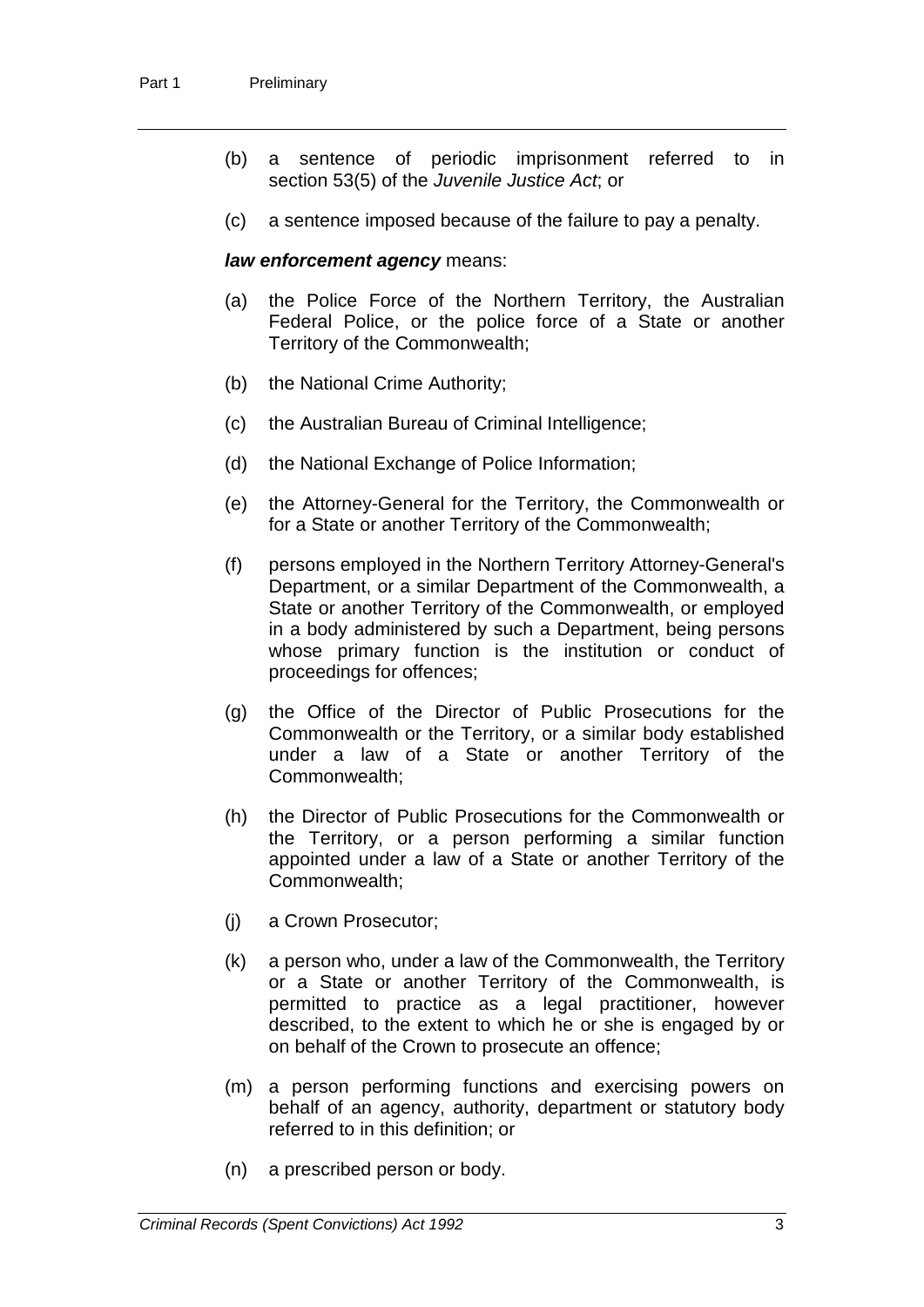- (b) a sentence of periodic imprisonment referred to in section 53(5) of the *Juvenile Justice Act*; or
- (c) a sentence imposed because of the failure to pay a penalty.

#### *law enforcement agency* means:

- (a) the Police Force of the Northern Territory, the Australian Federal Police, or the police force of a State or another Territory of the Commonwealth;
- (b) the National Crime Authority;
- (c) the Australian Bureau of Criminal Intelligence;
- (d) the National Exchange of Police Information;
- (e) the Attorney-General for the Territory, the Commonwealth or for a State or another Territory of the Commonwealth;
- (f) persons employed in the Northern Territory Attorney-General's Department, or a similar Department of the Commonwealth, a State or another Territory of the Commonwealth, or employed in a body administered by such a Department, being persons whose primary function is the institution or conduct of proceedings for offences;
- (g) the Office of the Director of Public Prosecutions for the Commonwealth or the Territory, or a similar body established under a law of a State or another Territory of the Commonwealth;
- (h) the Director of Public Prosecutions for the Commonwealth or the Territory, or a person performing a similar function appointed under a law of a State or another Territory of the Commonwealth;
- (j) a Crown Prosecutor;
- (k) a person who, under a law of the Commonwealth, the Territory or a State or another Territory of the Commonwealth, is permitted to practice as a legal practitioner, however described, to the extent to which he or she is engaged by or on behalf of the Crown to prosecute an offence;
- (m) a person performing functions and exercising powers on behalf of an agency, authority, department or statutory body referred to in this definition; or
- (n) a prescribed person or body.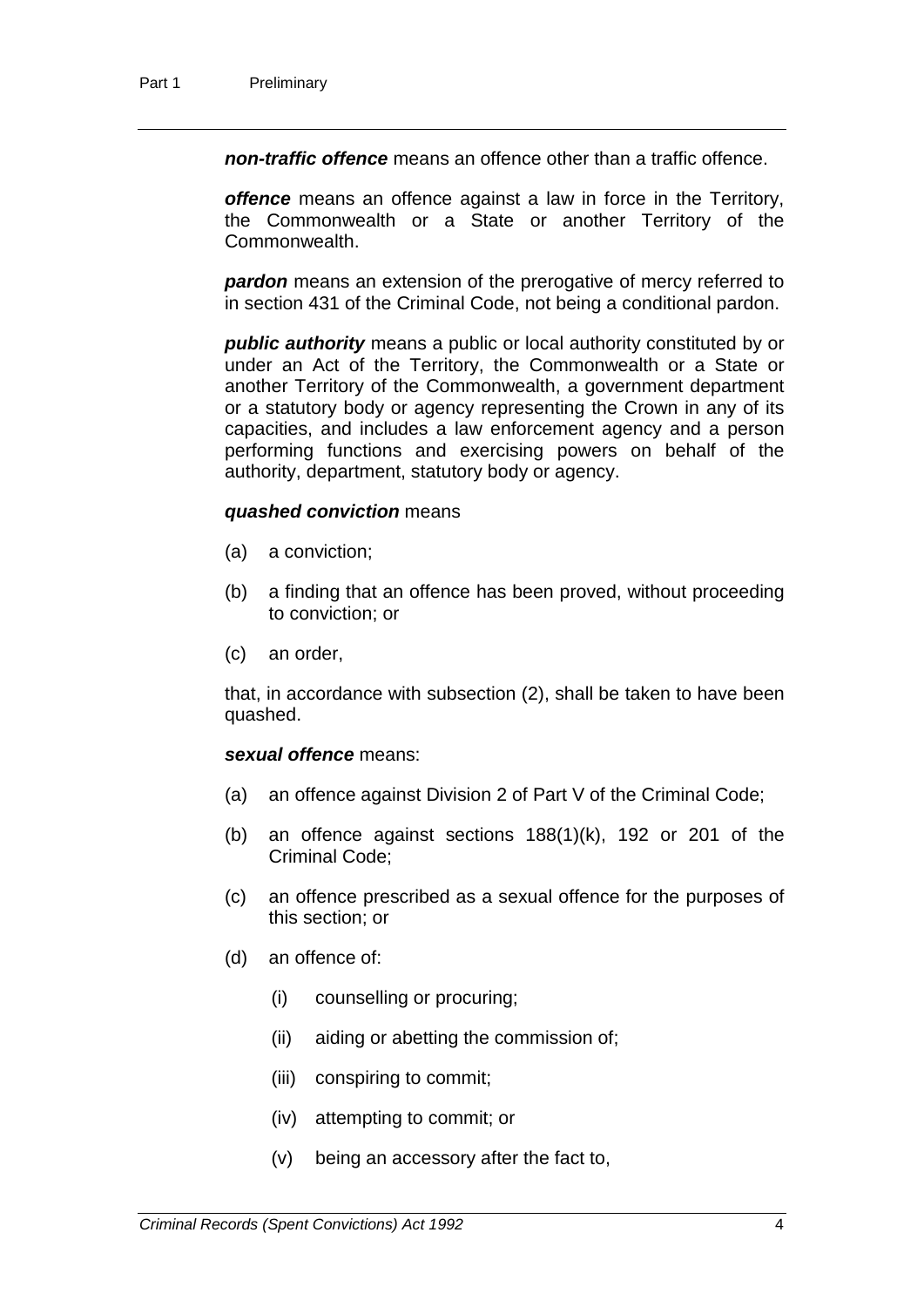*non-traffic offence* means an offence other than a traffic offence.

*offence* means an offence against a law in force in the Territory, the Commonwealth or a State or another Territory of the Commonwealth.

*pardon* means an extension of the prerogative of mercy referred to in section 431 of the Criminal Code, not being a conditional pardon.

*public authority* means a public or local authority constituted by or under an Act of the Territory, the Commonwealth or a State or another Territory of the Commonwealth, a government department or a statutory body or agency representing the Crown in any of its capacities, and includes a law enforcement agency and a person performing functions and exercising powers on behalf of the authority, department, statutory body or agency.

#### *quashed conviction* means

- (a) a conviction;
- (b) a finding that an offence has been proved, without proceeding to conviction; or
- (c) an order,

that, in accordance with subsection (2), shall be taken to have been quashed.

#### *sexual offence* means:

- (a) an offence against Division 2 of Part V of the Criminal Code;
- (b) an offence against sections 188(1)(k), 192 or 201 of the Criminal Code;
- (c) an offence prescribed as a sexual offence for the purposes of this section; or
- (d) an offence of:
	- (i) counselling or procuring;
	- (ii) aiding or abetting the commission of;
	- (iii) conspiring to commit;
	- (iv) attempting to commit; or
	- (v) being an accessory after the fact to,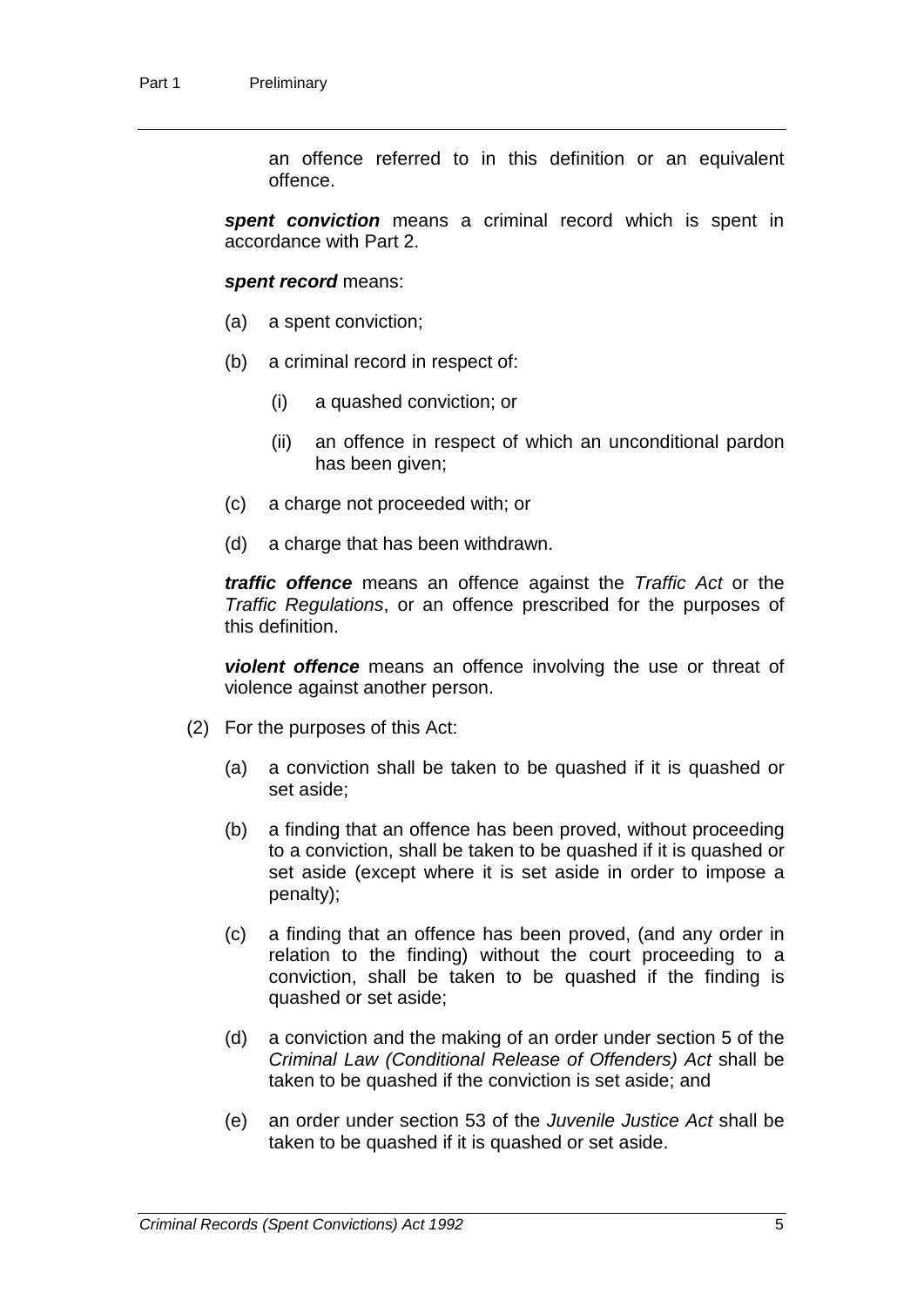an offence referred to in this definition or an equivalent offence.

*spent conviction* means a criminal record which is spent in accordance with Part 2.

*spent record* means:

- (a) a spent conviction;
- (b) a criminal record in respect of:
	- (i) a quashed conviction; or
	- (ii) an offence in respect of which an unconditional pardon has been given;
- (c) a charge not proceeded with; or
- (d) a charge that has been withdrawn.

*traffic offence* means an offence against the *Traffic Act* or the *Traffic Regulations*, or an offence prescribed for the purposes of this definition.

*violent offence* means an offence involving the use or threat of violence against another person.

- (2) For the purposes of this Act:
	- (a) a conviction shall be taken to be quashed if it is quashed or set aside;
	- (b) a finding that an offence has been proved, without proceeding to a conviction, shall be taken to be quashed if it is quashed or set aside (except where it is set aside in order to impose a penalty);
	- (c) a finding that an offence has been proved, (and any order in relation to the finding) without the court proceeding to a conviction, shall be taken to be quashed if the finding is quashed or set aside;
	- (d) a conviction and the making of an order under section 5 of the *Criminal Law (Conditional Release of Offenders) Act* shall be taken to be quashed if the conviction is set aside; and
	- (e) an order under section 53 of the *Juvenile Justice Act* shall be taken to be quashed if it is quashed or set aside.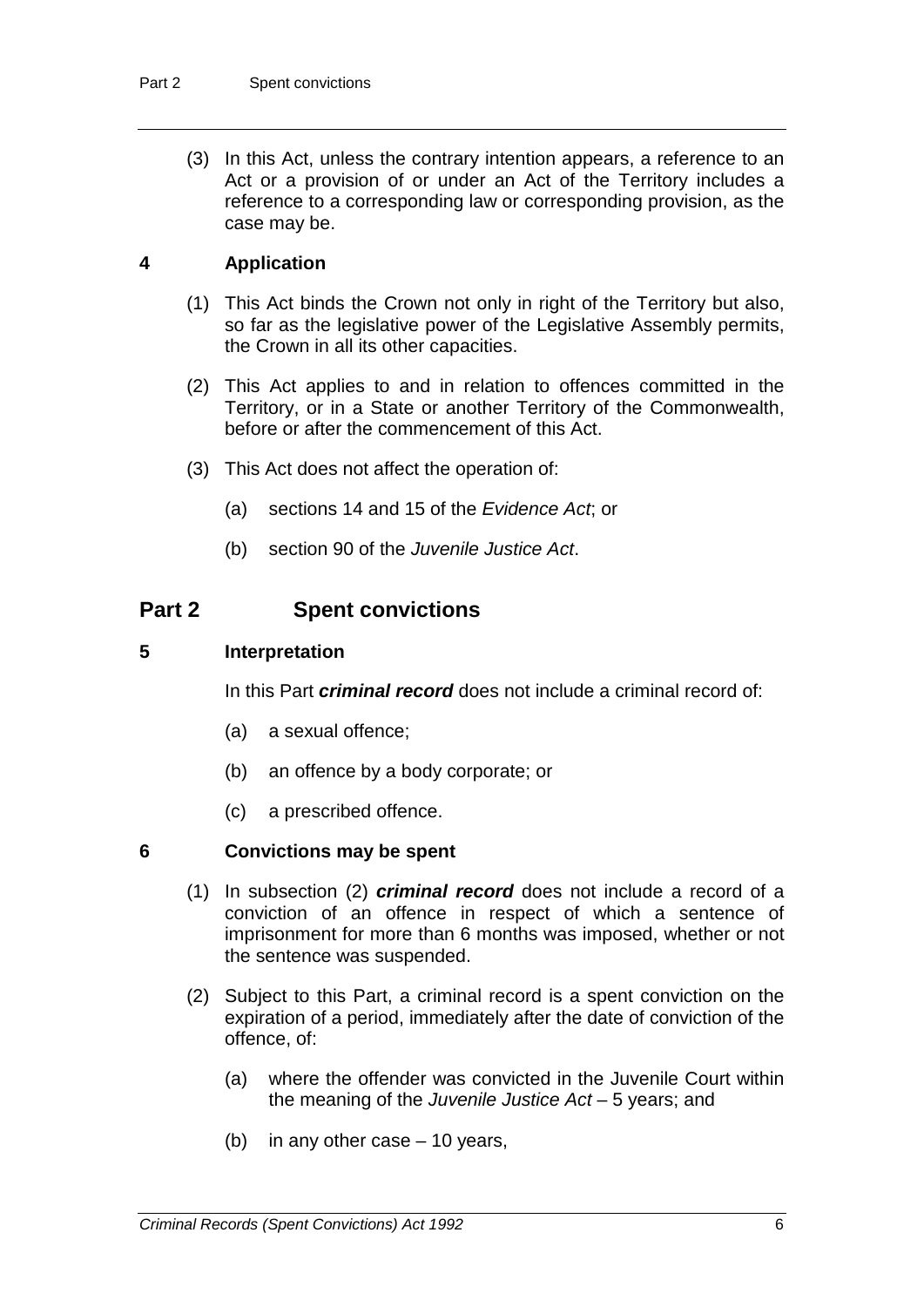(3) In this Act, unless the contrary intention appears, a reference to an Act or a provision of or under an Act of the Territory includes a reference to a corresponding law or corresponding provision, as the case may be.

#### **4 Application**

- (1) This Act binds the Crown not only in right of the Territory but also, so far as the legislative power of the Legislative Assembly permits, the Crown in all its other capacities.
- (2) This Act applies to and in relation to offences committed in the Territory, or in a State or another Territory of the Commonwealth, before or after the commencement of this Act.
- (3) This Act does not affect the operation of:
	- (a) sections 14 and 15 of the *Evidence Act*; or
	- (b) section 90 of the *Juvenile Justice Act*.

## **Part 2 Spent convictions**

#### **5 Interpretation**

In this Part *criminal record* does not include a criminal record of:

- (a) a sexual offence;
- (b) an offence by a body corporate; or
- (c) a prescribed offence.

#### **6 Convictions may be spent**

- (1) In subsection (2) *criminal record* does not include a record of a conviction of an offence in respect of which a sentence of imprisonment for more than 6 months was imposed, whether or not the sentence was suspended.
- (2) Subject to this Part, a criminal record is a spent conviction on the expiration of a period, immediately after the date of conviction of the offence, of:
	- (a) where the offender was convicted in the Juvenile Court within the meaning of the *Juvenile Justice Act* – 5 years; and
	- (b) in any other case 10 years,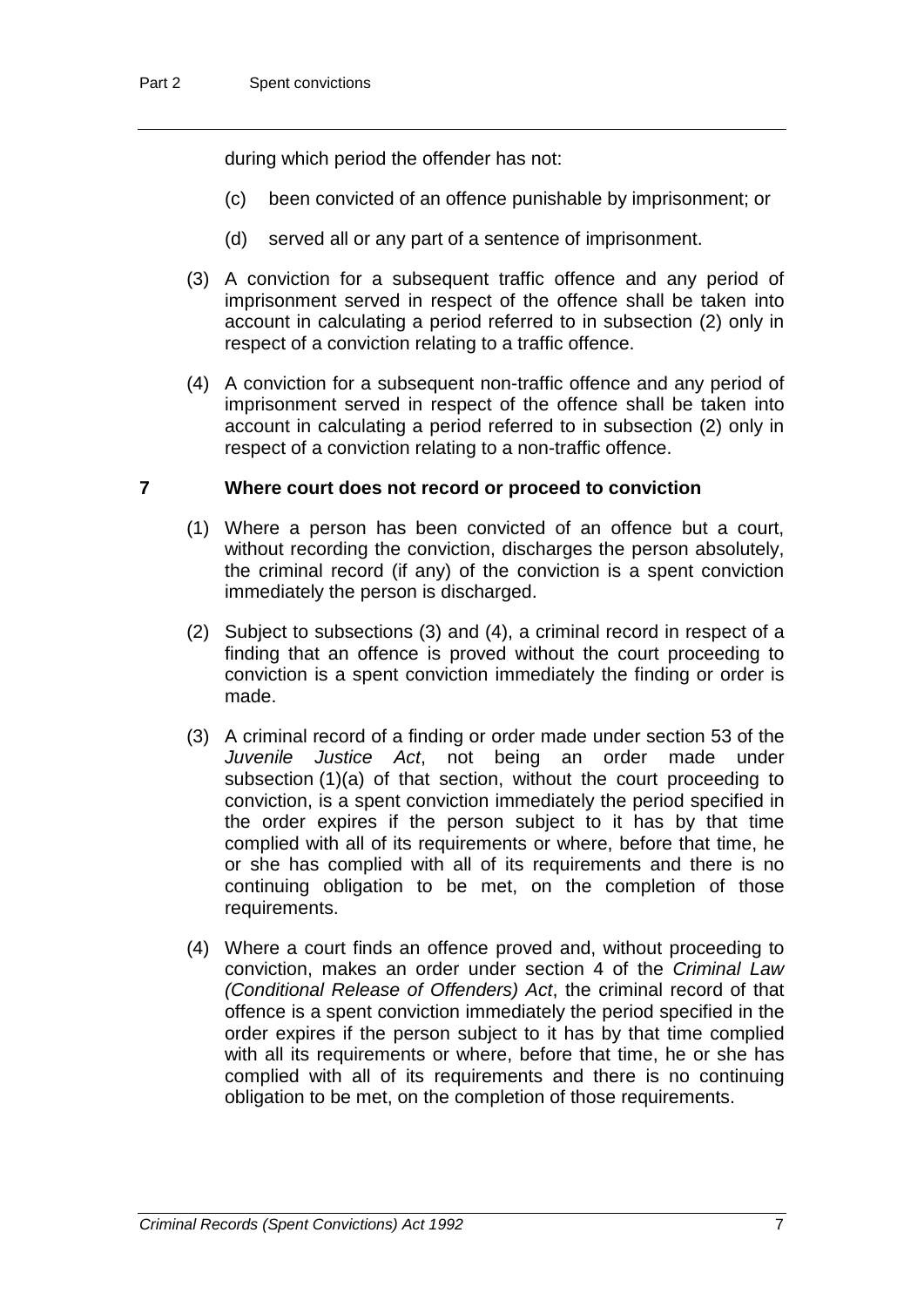during which period the offender has not:

- (c) been convicted of an offence punishable by imprisonment; or
- (d) served all or any part of a sentence of imprisonment.
- (3) A conviction for a subsequent traffic offence and any period of imprisonment served in respect of the offence shall be taken into account in calculating a period referred to in subsection (2) only in respect of a conviction relating to a traffic offence.
- (4) A conviction for a subsequent non-traffic offence and any period of imprisonment served in respect of the offence shall be taken into account in calculating a period referred to in subsection (2) only in respect of a conviction relating to a non-traffic offence.

#### **7 Where court does not record or proceed to conviction**

- (1) Where a person has been convicted of an offence but a court, without recording the conviction, discharges the person absolutely, the criminal record (if any) of the conviction is a spent conviction immediately the person is discharged.
- (2) Subject to subsections (3) and (4), a criminal record in respect of a finding that an offence is proved without the court proceeding to conviction is a spent conviction immediately the finding or order is made.
- (3) A criminal record of a finding or order made under section 53 of the *Juvenile Justice Act*, not being an order made under subsection (1)(a) of that section, without the court proceeding to conviction, is a spent conviction immediately the period specified in the order expires if the person subject to it has by that time complied with all of its requirements or where, before that time, he or she has complied with all of its requirements and there is no continuing obligation to be met, on the completion of those requirements.
- (4) Where a court finds an offence proved and, without proceeding to conviction, makes an order under section 4 of the *Criminal Law (Conditional Release of Offenders) Act*, the criminal record of that offence is a spent conviction immediately the period specified in the order expires if the person subject to it has by that time complied with all its requirements or where, before that time, he or she has complied with all of its requirements and there is no continuing obligation to be met, on the completion of those requirements.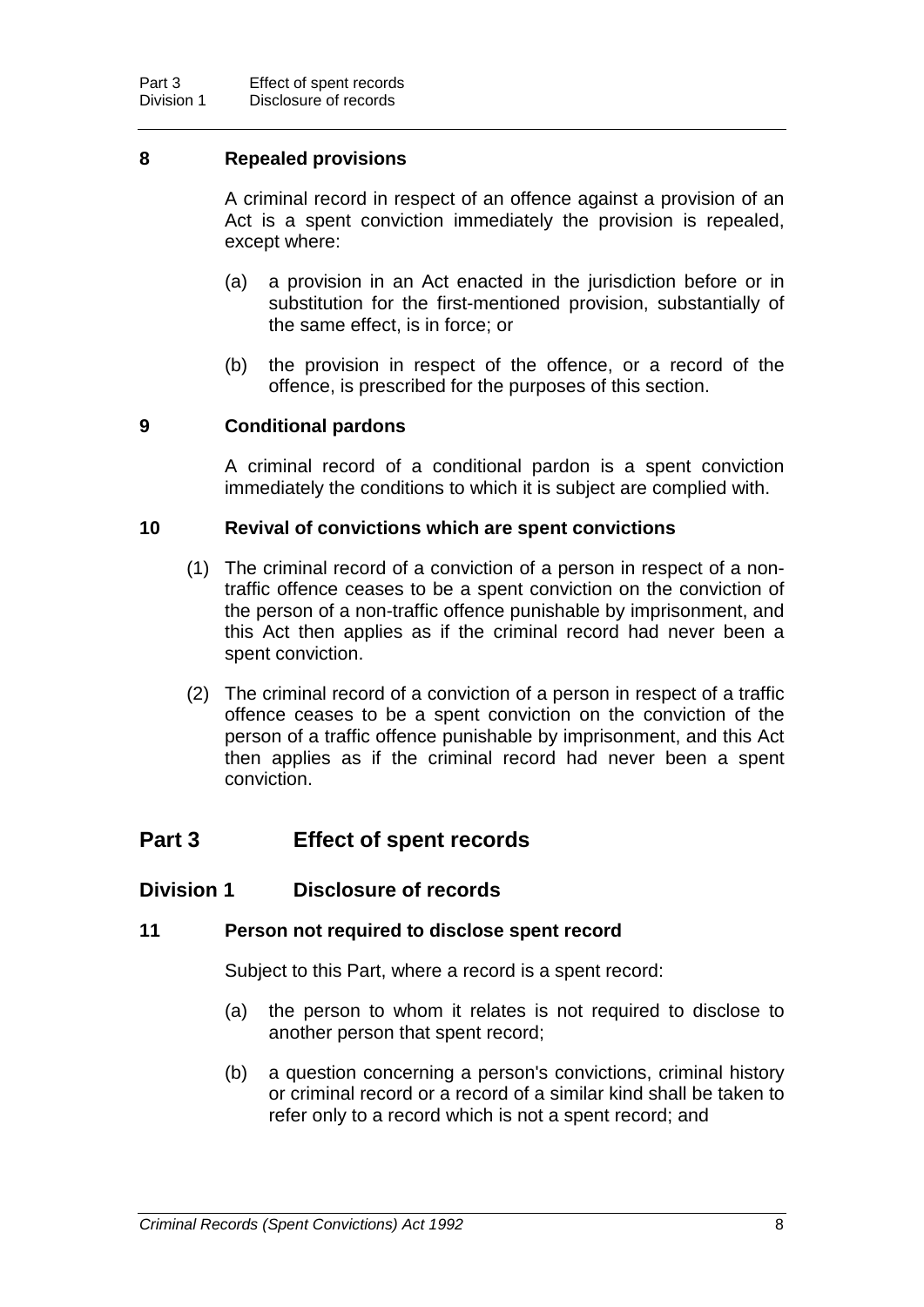#### **8 Repealed provisions**

A criminal record in respect of an offence against a provision of an Act is a spent conviction immediately the provision is repealed, except where:

- (a) a provision in an Act enacted in the jurisdiction before or in substitution for the first-mentioned provision, substantially of the same effect, is in force; or
- (b) the provision in respect of the offence, or a record of the offence, is prescribed for the purposes of this section.

#### **9 Conditional pardons**

A criminal record of a conditional pardon is a spent conviction immediately the conditions to which it is subject are complied with.

#### **10 Revival of convictions which are spent convictions**

- (1) The criminal record of a conviction of a person in respect of a nontraffic offence ceases to be a spent conviction on the conviction of the person of a non-traffic offence punishable by imprisonment, and this Act then applies as if the criminal record had never been a spent conviction.
- (2) The criminal record of a conviction of a person in respect of a traffic offence ceases to be a spent conviction on the conviction of the person of a traffic offence punishable by imprisonment, and this Act then applies as if the criminal record had never been a spent conviction.

## **Part 3 Effect of spent records**

#### **Division 1 Disclosure of records**

#### **11 Person not required to disclose spent record**

Subject to this Part, where a record is a spent record:

- (a) the person to whom it relates is not required to disclose to another person that spent record;
- (b) a question concerning a person's convictions, criminal history or criminal record or a record of a similar kind shall be taken to refer only to a record which is not a spent record; and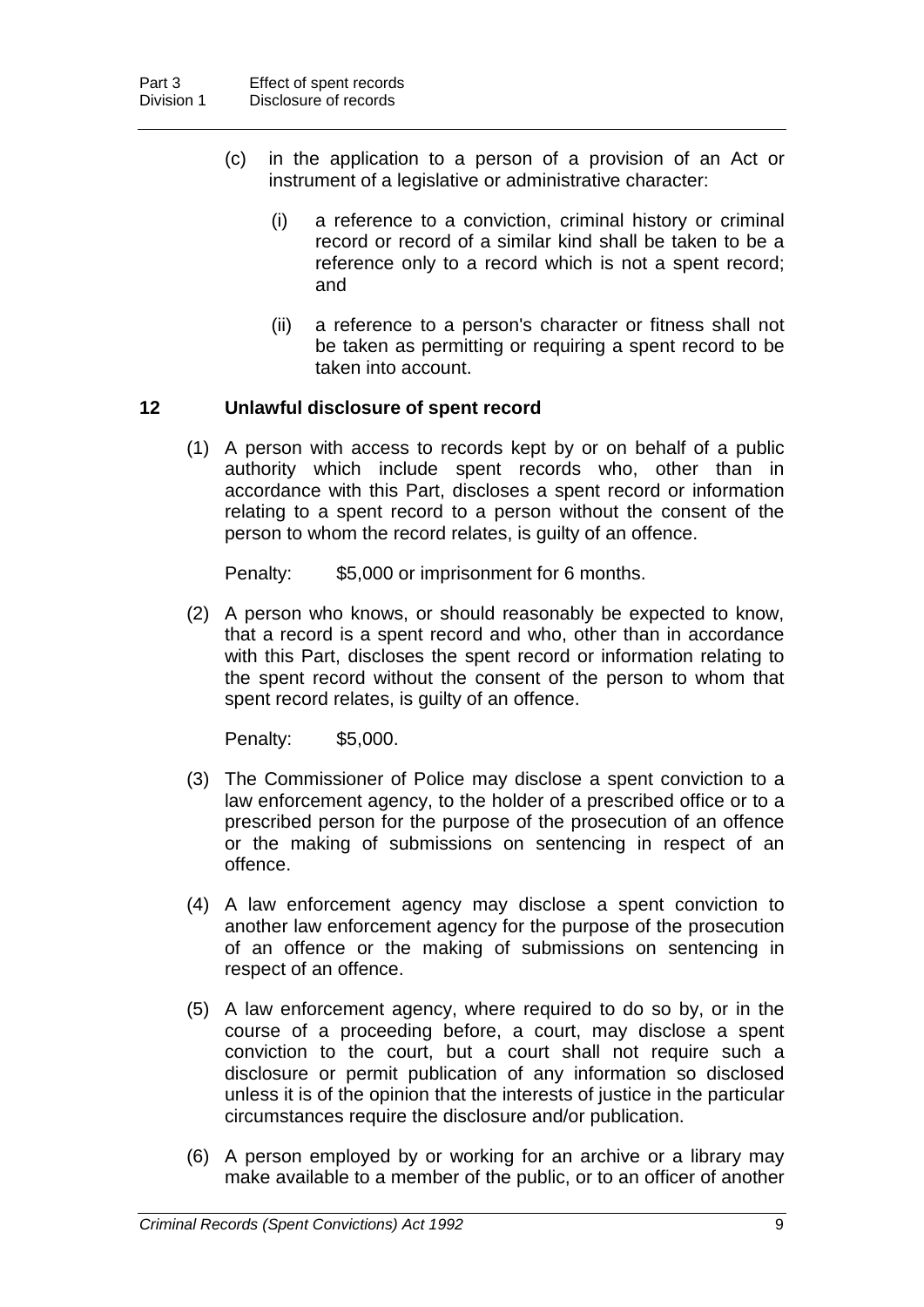- (c) in the application to a person of a provision of an Act or instrument of a legislative or administrative character:
	- (i) a reference to a conviction, criminal history or criminal record or record of a similar kind shall be taken to be a reference only to a record which is not a spent record; and
	- (ii) a reference to a person's character or fitness shall not be taken as permitting or requiring a spent record to be taken into account.

## **12 Unlawful disclosure of spent record**

(1) A person with access to records kept by or on behalf of a public authority which include spent records who, other than in accordance with this Part, discloses a spent record or information relating to a spent record to a person without the consent of the person to whom the record relates, is guilty of an offence.

Penalty: \$5,000 or imprisonment for 6 months.

(2) A person who knows, or should reasonably be expected to know, that a record is a spent record and who, other than in accordance with this Part, discloses the spent record or information relating to the spent record without the consent of the person to whom that spent record relates, is guilty of an offence.

Penalty: \$5,000.

- (3) The Commissioner of Police may disclose a spent conviction to a law enforcement agency, to the holder of a prescribed office or to a prescribed person for the purpose of the prosecution of an offence or the making of submissions on sentencing in respect of an offence.
- (4) A law enforcement agency may disclose a spent conviction to another law enforcement agency for the purpose of the prosecution of an offence or the making of submissions on sentencing in respect of an offence.
- (5) A law enforcement agency, where required to do so by, or in the course of a proceeding before, a court, may disclose a spent conviction to the court, but a court shall not require such a disclosure or permit publication of any information so disclosed unless it is of the opinion that the interests of justice in the particular circumstances require the disclosure and/or publication.
- (6) A person employed by or working for an archive or a library may make available to a member of the public, or to an officer of another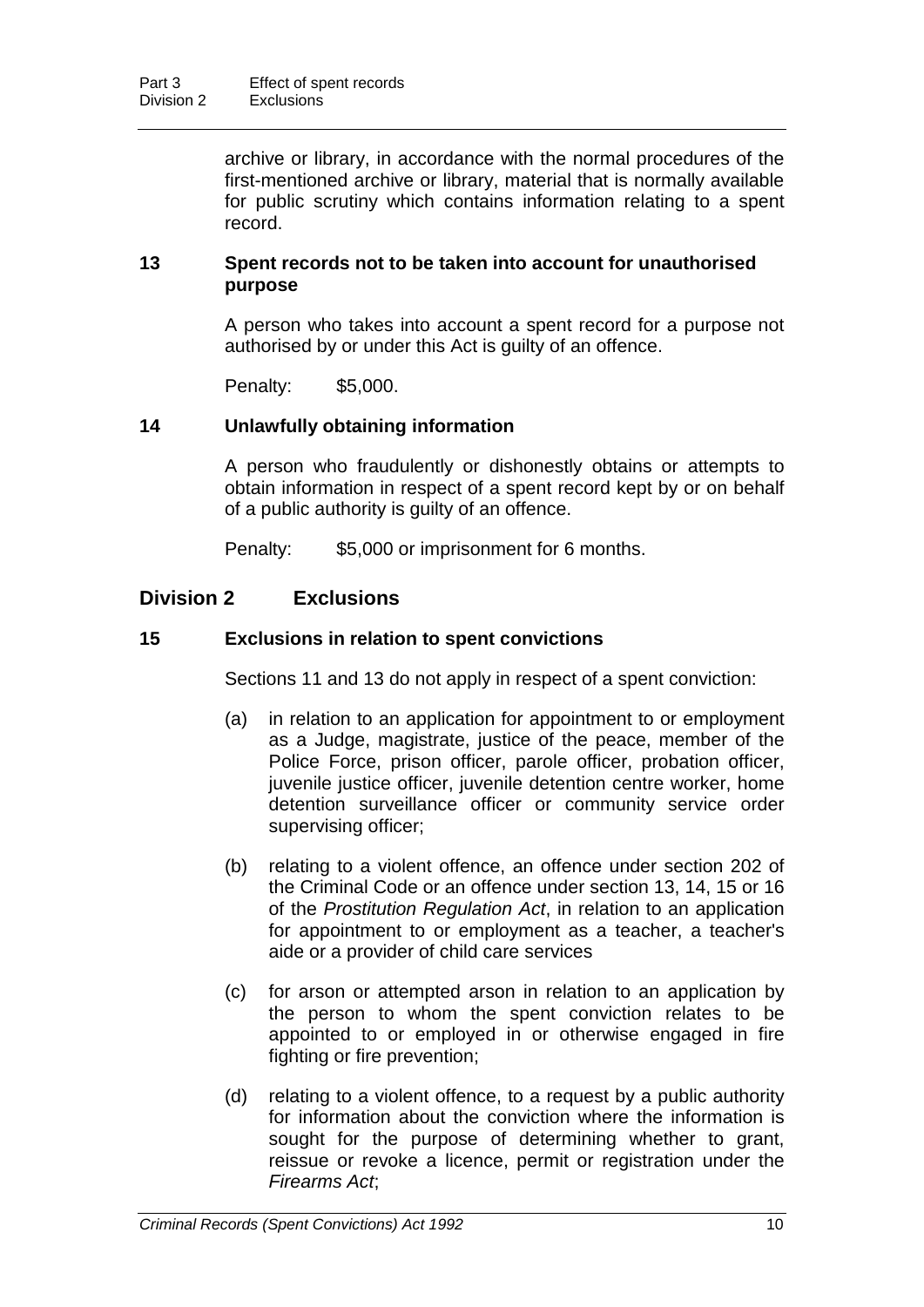archive or library, in accordance with the normal procedures of the first-mentioned archive or library, material that is normally available for public scrutiny which contains information relating to a spent record.

#### **13 Spent records not to be taken into account for unauthorised purpose**

A person who takes into account a spent record for a purpose not authorised by or under this Act is guilty of an offence.

Penalty: \$5,000.

#### **14 Unlawfully obtaining information**

A person who fraudulently or dishonestly obtains or attempts to obtain information in respect of a spent record kept by or on behalf of a public authority is guilty of an offence.

Penalty: \$5,000 or imprisonment for 6 months.

## **Division 2 Exclusions**

#### **15 Exclusions in relation to spent convictions**

Sections 11 and 13 do not apply in respect of a spent conviction:

- (a) in relation to an application for appointment to or employment as a Judge, magistrate, justice of the peace, member of the Police Force, prison officer, parole officer, probation officer, juvenile justice officer, juvenile detention centre worker, home detention surveillance officer or community service order supervising officer;
- (b) relating to a violent offence, an offence under section 202 of the Criminal Code or an offence under section 13, 14, 15 or 16 of the *Prostitution Regulation Act*, in relation to an application for appointment to or employment as a teacher, a teacher's aide or a provider of child care services
- (c) for arson or attempted arson in relation to an application by the person to whom the spent conviction relates to be appointed to or employed in or otherwise engaged in fire fighting or fire prevention;
- (d) relating to a violent offence, to a request by a public authority for information about the conviction where the information is sought for the purpose of determining whether to grant, reissue or revoke a licence, permit or registration under the *Firearms Act*;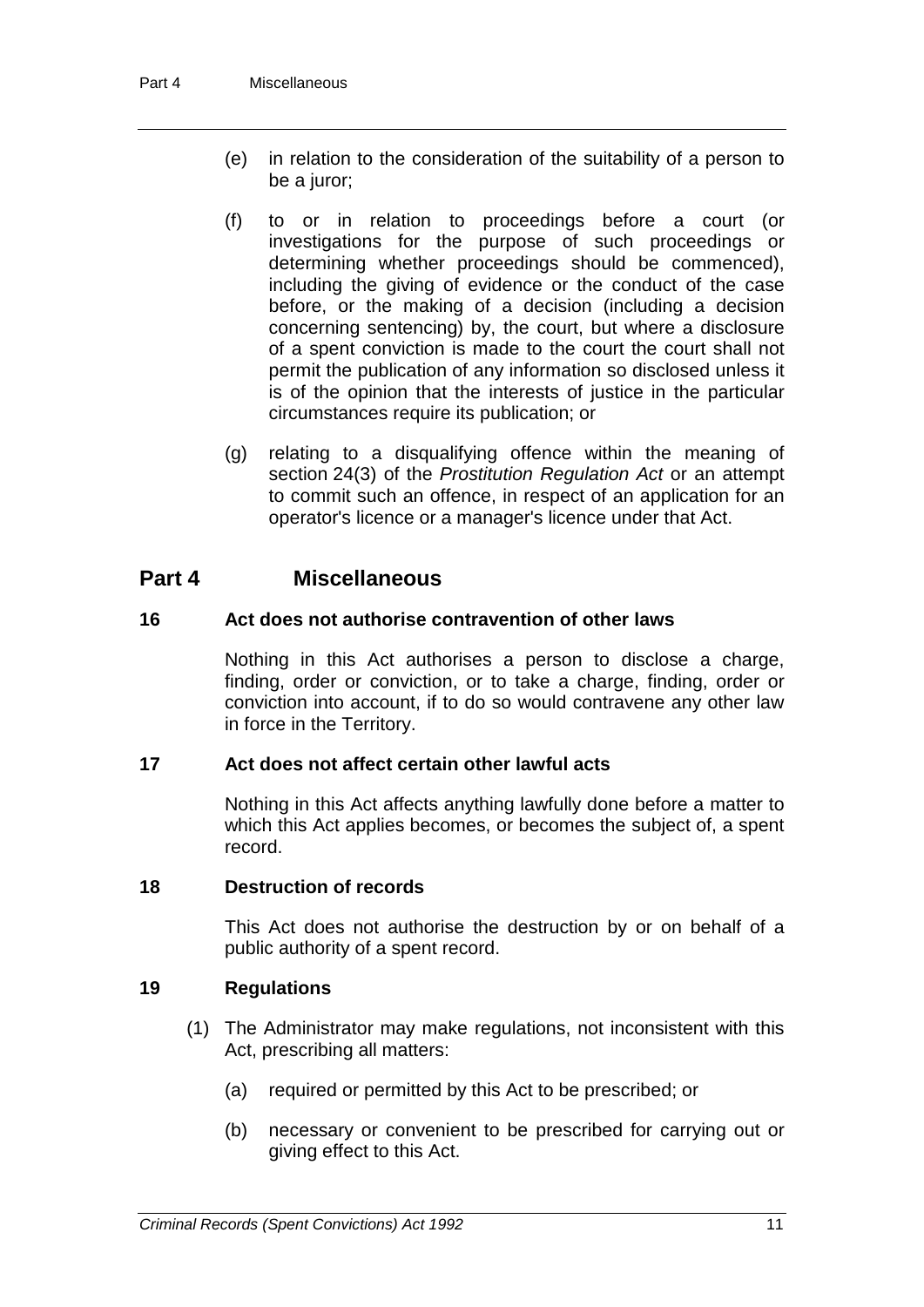- (e) in relation to the consideration of the suitability of a person to be a juror;
- (f) to or in relation to proceedings before a court (or investigations for the purpose of such proceedings or determining whether proceedings should be commenced), including the giving of evidence or the conduct of the case before, or the making of a decision (including a decision concerning sentencing) by, the court, but where a disclosure of a spent conviction is made to the court the court shall not permit the publication of any information so disclosed unless it is of the opinion that the interests of justice in the particular circumstances require its publication; or
- (g) relating to a disqualifying offence within the meaning of section 24(3) of the *Prostitution Regulation Act* or an attempt to commit such an offence, in respect of an application for an operator's licence or a manager's licence under that Act.

## **Part 4 Miscellaneous**

## **16 Act does not authorise contravention of other laws**

Nothing in this Act authorises a person to disclose a charge, finding, order or conviction, or to take a charge, finding, order or conviction into account, if to do so would contravene any other law in force in the Territory.

#### **17 Act does not affect certain other lawful acts**

Nothing in this Act affects anything lawfully done before a matter to which this Act applies becomes, or becomes the subject of, a spent record.

#### **18 Destruction of records**

This Act does not authorise the destruction by or on behalf of a public authority of a spent record.

## **19 Regulations**

- (1) The Administrator may make regulations, not inconsistent with this Act, prescribing all matters:
	- (a) required or permitted by this Act to be prescribed; or
	- (b) necessary or convenient to be prescribed for carrying out or giving effect to this Act.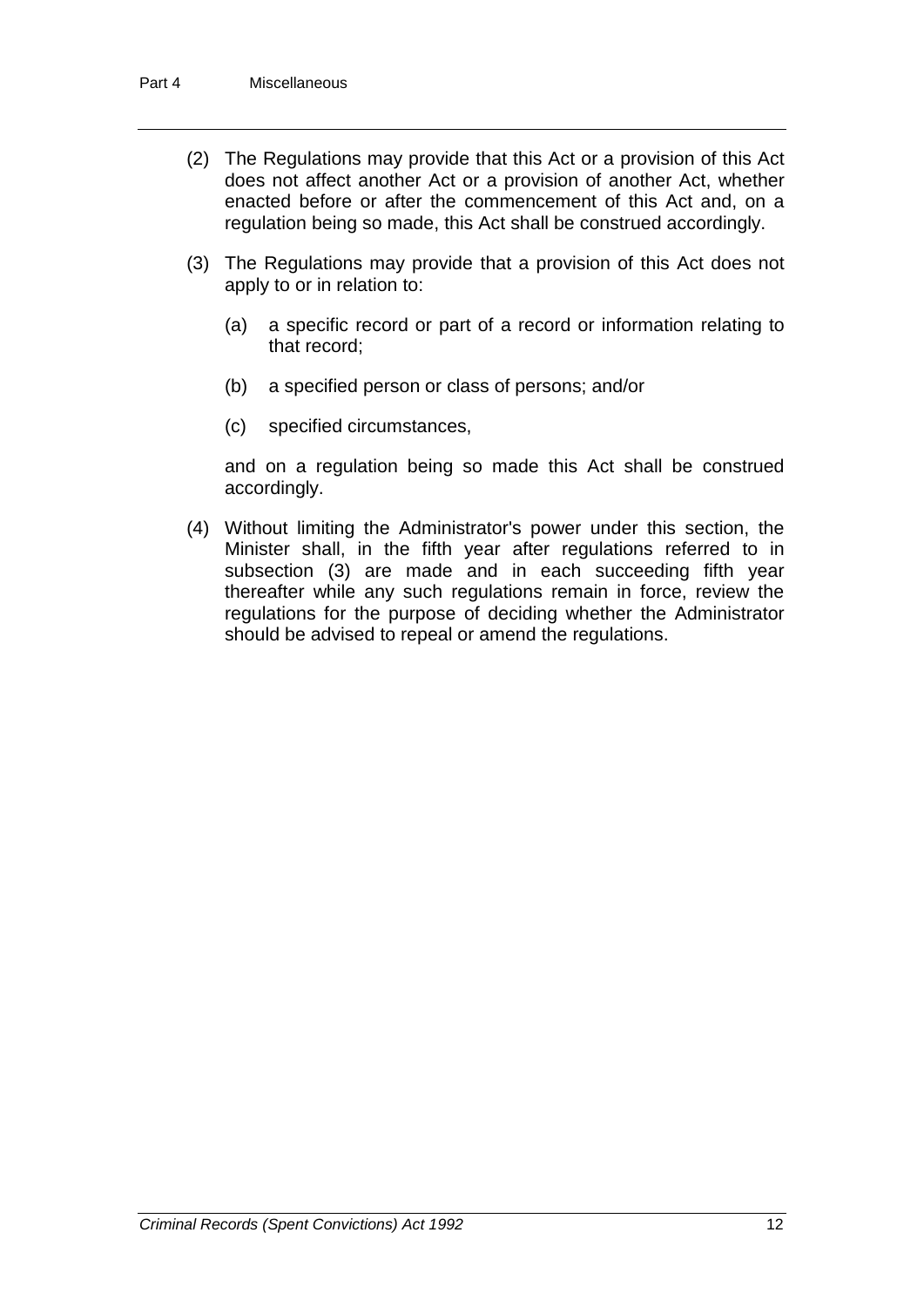- (2) The Regulations may provide that this Act or a provision of this Act does not affect another Act or a provision of another Act, whether enacted before or after the commencement of this Act and, on a regulation being so made, this Act shall be construed accordingly.
- (3) The Regulations may provide that a provision of this Act does not apply to or in relation to:
	- (a) a specific record or part of a record or information relating to that record;
	- (b) a specified person or class of persons; and/or
	- (c) specified circumstances,

and on a regulation being so made this Act shall be construed accordingly.

(4) Without limiting the Administrator's power under this section, the Minister shall, in the fifth year after regulations referred to in subsection (3) are made and in each succeeding fifth year thereafter while any such regulations remain in force, review the regulations for the purpose of deciding whether the Administrator should be advised to repeal or amend the regulations.